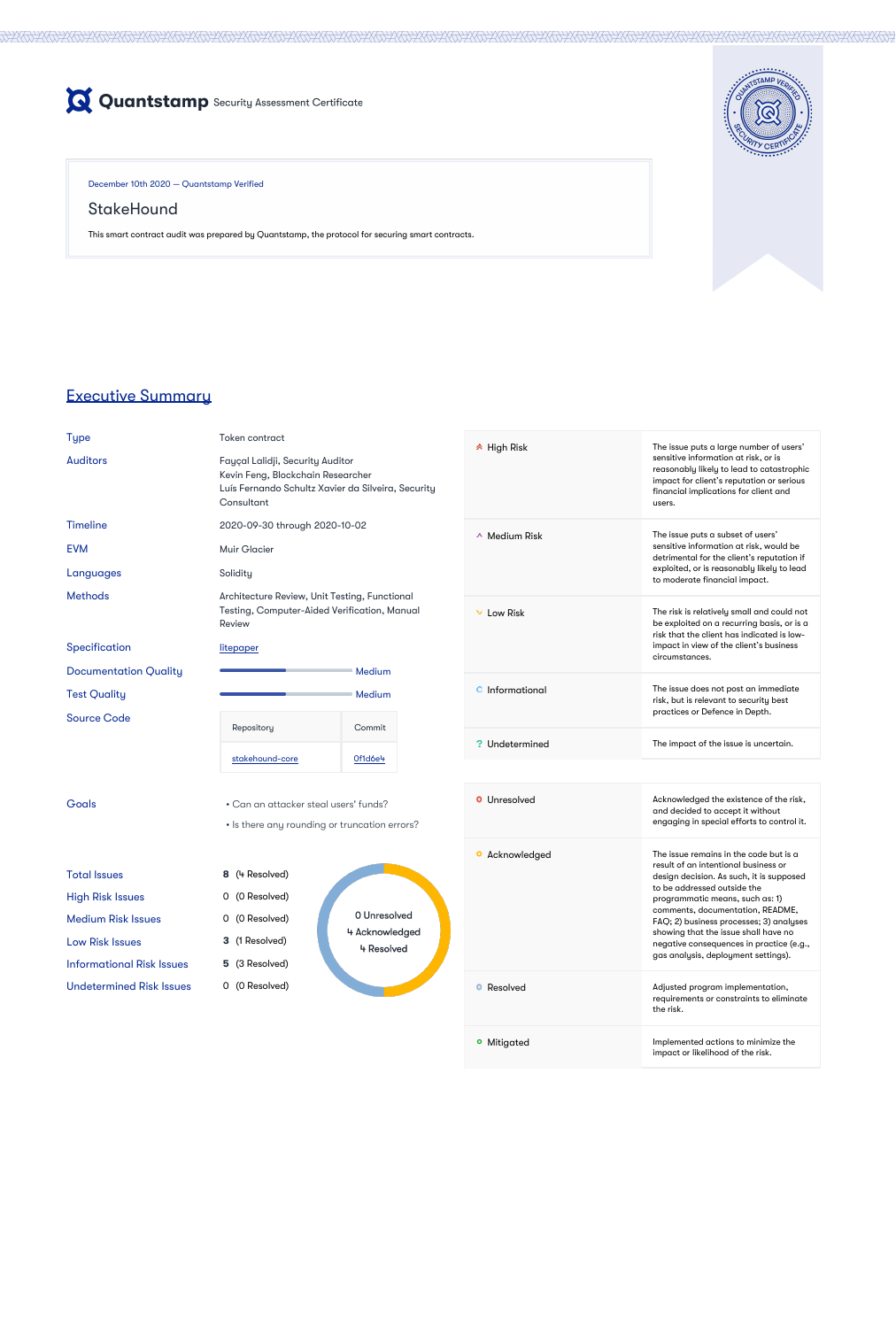

December 10th 2020 — Quantstamp Verified

# **StakeHound**

This smart contract audit was prepared by Quantstamp, the protocol for securing smart contracts.



# Executive Summary

| Type |  |
|------|--|
|      |  |

Token contract

Auditors Fayçal Lalidji, Security Auditor Kevin Feng, Blockchain Researcher Luís Fernando Schultz Xavier da Silveira, Security

Methods **Architecture Review, Unit Testing, Functional** Testing, Computer-Aided Verification, Manual Review

| Consultant |  |
|------------|--|
|            |  |

2020-09-30 through 2020-10-02

EVM Muir Glacier



Goals **Goals • Can an attacker steal users' funds?** 

Source Code

• Is there any rounding or truncation errors?

0 Unresolved

4 Acknowledged

4 Resolved

Total Issues **8** (4 Resolved) High Risk Issues 0 (0 Resolved) Medium Risk Issues **0 (0 Resolved)** Low Risk Issues **3** (1 Resolved)

Informational Risk Issues **5** (3 Resolved)

Undetermined Risk Issues 0 (0 Resolved)

High Risk The issue puts a large number of users' sensitive information at risk, or is reasonably likely to lead to catastrophic

| <b>Timeline</b> |  |
|-----------------|--|

Languages Solidity

Specification [litepaper](https://stakehound.com/docs/litepaper/)

**a** Acknowledged **The issue remains in the code but is a** result of an intentional business or design decision. As such, it is supposed to be addressed outside the programmatic means, such as: 1) comments, documentation, README, FAQ; 2) business processes; 3) analyses showing that the issue shall have no negative consequences in practice (e.g., gas analysis, deployment settings).

**P** Resolved **Adjusted program implementation**,



**•** Mitigated **Implemented actions to minimize the** impact or likelihood of the risk.

|                     | impact for client's reputation or serious<br>financial implications for client and<br>users.                                                                                                              |
|---------------------|-----------------------------------------------------------------------------------------------------------------------------------------------------------------------------------------------------------|
| $\land$ Medium Risk | The issue puts a subset of users'<br>sensitive information at risk, would be<br>detrimental for the client's reputation if<br>exploited, or is reasonably likely to lead<br>to moderate financial impact. |
| Low Risk            | The risk is relatively small and could not<br>be exploited on a recurring basis, or is a<br>risk that the client has indicated is low-<br>impact in view of the client's business<br>circumstances.       |
| Informational       | The issue does not post an immediate<br>risk, but is relevant to security best<br>practices or Defence in Depth.                                                                                          |
| Undetermined        | The impact of the issue is uncertain.                                                                                                                                                                     |
|                     |                                                                                                                                                                                                           |
| Unresolved          | Acknowledged the existence of the risk,<br>and decided to accept it without<br>engaging in special efforts to control it.                                                                                 |

requirements or constraints to eliminate the risk.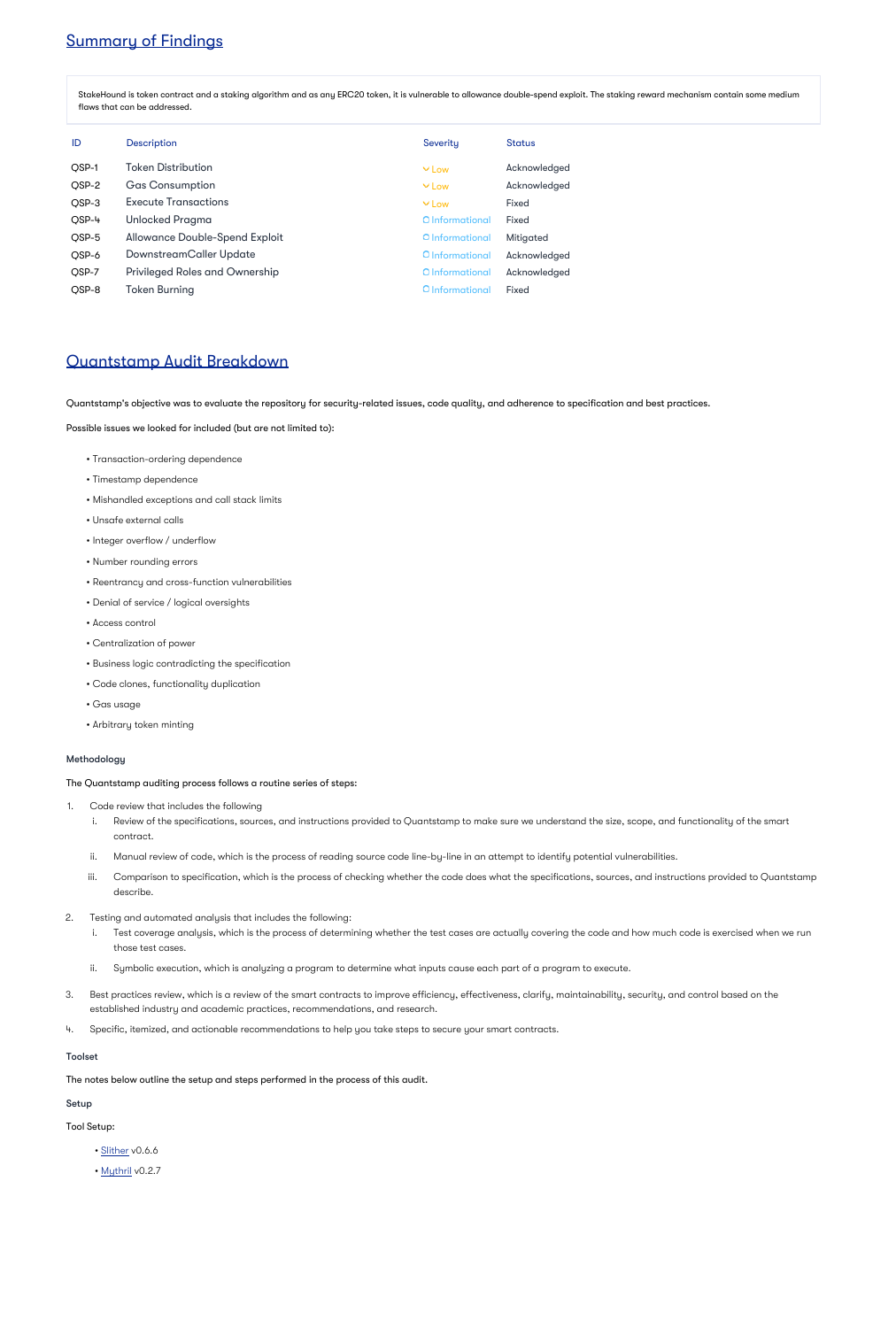# Summary of Findings

StakeHound is token contract and a staking algorithm and as any ERC20 token, it is vulnerable to allowance double-spend exploit. The staking reward mechanism contain some medium flaws that can be addressed.

| ID    | <b>Description</b>                    | Severity        | <b>Status</b>    |
|-------|---------------------------------------|-----------------|------------------|
| QSP-1 | <b>Token Distribution</b>             | $\vee$ Low      | Acknowledged     |
| QSP-2 | <b>Gas Consumption</b>                | $\vee$ Low      | Acknowledged     |
| QSP-3 | <b>Execute Transactions</b>           | $\vee$ Low      | <b>Fixed</b>     |
| QSP-4 | <b>Unlocked Pragma</b>                | O Informational | <b>Fixed</b>     |
| QSP-5 | <b>Allowance Double-Spend Exploit</b> | O Informational | <b>Mitigated</b> |
| QSP-6 | DownstreamCaller Update               | O Informational | Acknowledged     |
| QSP-7 | <b>Privileged Roles and Ownership</b> | O Informational | Acknowledged     |
| QSP-8 | <b>Token Burning</b>                  | O Informational | <b>Fixed</b>     |

# Quantstamp Audit Breakdown

Quantstamp's objective was to evaluate the repository for security-related issues, code quality, and adherence to specification and best practices.

Possible issues we looked for included (but are not limited to):

- Transaction-ordering dependence
- Timestamp dependence
- Mishandled exceptions and call stack limits
- Unsafe external calls
- Integer overflow / underflow
- Number rounding errors
- Reentrancy and cross-function vulnerabilities
- Denial of service / logical oversights
- Access control
- Centralization of power
- Business logic contradicting the specification
- Code clones, functionality duplication
- Gas usage
- Arbitrary token minting

### Methodology

The Quantstamp auditing process follows a routine series of steps:

- 1. Code review that includes the following
	- i. Review of the specifications, sources, and instructions provided to Quantstamp to make sure we understand the size, scope, and functionality of the smart contract.
	- ii. Manual review of code, which is the process of reading source code line-by-line in an attempt to identify potential vulnerabilities.
	- iii. Comparison to specification, which is the process of checking whether the code does what the specifications, sources, and instructions provided to Quantstamp describe.
- 2. Testing and automated analysis that includes the following:
	- i. Test coverage analysis, which is the process of determining whether the test cases are actually covering the code and how much code is exercised when we run those test cases.
	- ii. Symbolic execution, which is analyzing a program to determine what inputs cause each part of a program to execute.
- 3. Best practices review, which is a review of the smart contracts to improve efficiency, effectiveness, clarify, maintainability, security, and control based on the established industry and academic practices, recommendations, and research.
- 4. Specific, itemized, and actionable recommendations to help you take steps to secure your smart contracts.

### Toolset

The notes below outline the setup and steps performed in the process of this audit.

### Setup

Tool Setup:

- [Slither](https://github.com/crytic/slither) v0.6.6
- [Mythril](https://github.com/ConsenSys/mythril) v0.2.7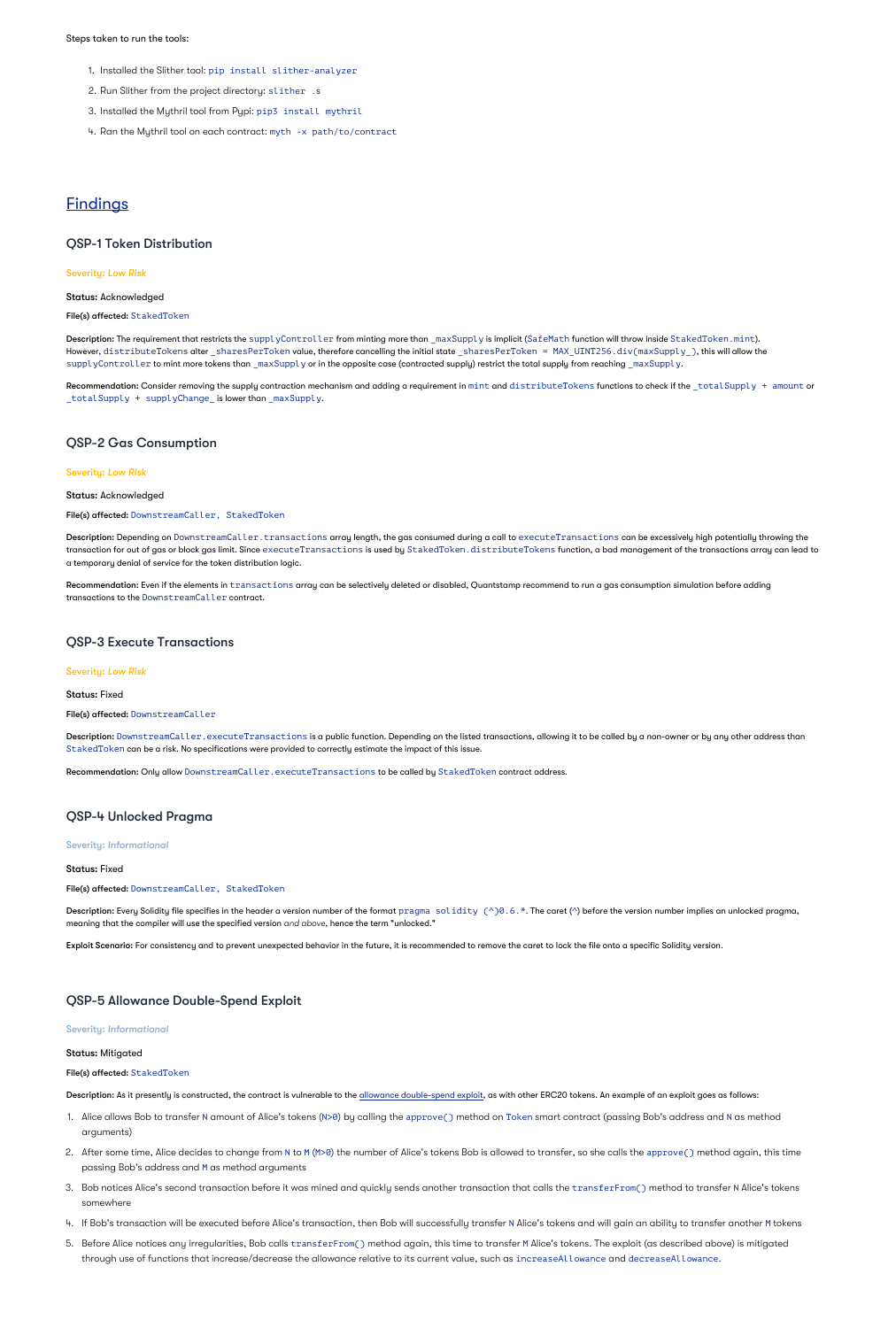#### Steps taken to run the tools:

- 1. Installed the Slither tool: pip install slither-analyzer
- 2. Run Slither from the project directory: slither .s
- 3. Installed the Mythril tool from Pypi: pip3 install mythril
- 4. Ran the Mythril tool on each contract: myth -x path/to/contract

## **Findings**

### QSP-1 Token Distribution

#### Severity: *Low Risk*

#### Status: Acknowledged

#### File(s) affected: StakedToken

Description: The requirement that restricts the supplyController from minting more than \_maxSupply is implicit (SafeMath function will throw inside StakedToken.mint). However,  $\tt{distributer}$ okens alter \_sharesPerToken value, therefore cancelling the initial state \_sharesPerToken = MAX\_UINT256.div(maxSupply\_), this will allow the supplyController to mint more tokens than \_maxSupply or in the opposite case (contracted supply) restrict the total supply from reaching \_maxSupply.

 $\sf Recommendation:$  Consider removing the supply contraction mechanism and adding a requirement in <code>mint</code> and <code>distributeTokens</code> functions to check if the <code>\_totalSupply + amount</code> or  $\_$ total $\operatorname{\mathsf{Supp}}\nolimits\mathsf{ly}$  +  $\operatorname{\mathsf{supp}}\nolimits\mathsf{lyChange}\nolimits_-$  is lower than  $\_$ max $\operatorname{\mathsf{Supp}}\nolimits\mathsf{ly}.$ 

Description: Depending on DownstreamCaller.transactions array length, the gas consumed during a call to executeTransactions can be excessively high potentially throwing the transaction for out of gas or block gas limit. Since executeTransactions is used by StakedToken. distributeTokens function, a bad management of the transactions array can lead to a temporary denial of service for the token distribution logic.

Recommendation: Even if the elements in transactions array can be selectively deleted or disabled, Quantstamp recommend to run a gas consumption simulation before adding transactions to the DownstreamCaller contract.

### QSP-2 Gas Consumption

#### Severity: *Low Risk*

Status: Acknowledged

#### File(s) affected: DownstreamCaller, StakedToken

### QSP-3 Execute Transactions

#### Severity: *Low Risk*

Status: Fixed

File(s) affected: DownstreamCaller

Description: DownstreamCaller.executeTransactions is a public function. Depending on the listed transactions, allowing it to be called by a non-owner or by any other address than StakedToken can be a risk. No specifications were provided to correctly estimate the impact of this issue.

Recommendation: Only allow DownstreamCaller.executeTransactions to be called by StakedToken contract address.

### QSP-4 Unlocked Pragma

### Severity: *Informational*

Status: Fixed

File(s) affected: DownstreamCaller, StakedToken

**Description:** Every Solidity file specifies in the header a version number of the format  $\text{pragma }\text{solidity }(\wedge)\textbf{0.6.*}.$  The caret ( $\wedge$ ) before the version number implies an unlocked pragma, meaning that the compiler will use the specified version and above, hence the term "unlocked."

Exploit Scenario: For consistency and to prevent unexpected behavior in the future, it is recommended to remove the caret to lock the file onto a specific Solidity version.

### QSP-5 Allowance Double-Spend Exploit

### Severity: *Informational*

### Status: Mitigated

File(s) affected: StakedToken

Description: As it presently is constructed, the contract is vulnerable to the [allowance double-spend exploit,](https://github.com/OpenZeppelin/openzeppelin-solidity/blob/b4f87bb8fc25fb07f73099701e39e167a3d36465/contracts/token/ERC20/ERC20.sol#L71-L78) as with other ERC20 tokens. An example of an exploit goes as follows:

- 1. Alice allows Bob to transfer N amount of Alice's tokens (N>0) by calling the approve( ) method on Token smart contract (passing Bob's address and N as method arguments)
- 2. After some time, Alice decides to change from N to M (M>0) the number of Alice's tokens Bob is allowed to transfer, so she calls the approve( ) method again, this time passing Bob's address and M as method arguments
- 3. Bob notices Alice's second transaction before it was mined and quickly sends another transaction that calls the  $\verb|transferFrom()|$  method to transfer N Alice's tokens somewhere
- 4. If Bob's transaction will be executed before Alice's transaction, then Bob will successfully transfer N Alice's tokens and will gain an ability to transfer another M tokens
- 5. Before Alice notices any irregularities, Bob calls transferFrom() method again, this time to transfer M Alice's tokens. The exploit (as described above) is mitigated through use of functions that increase/decrease the allowance relative to its current value, such as <code>increaseAllowance</code> and <code>decreaseAllowance.</code>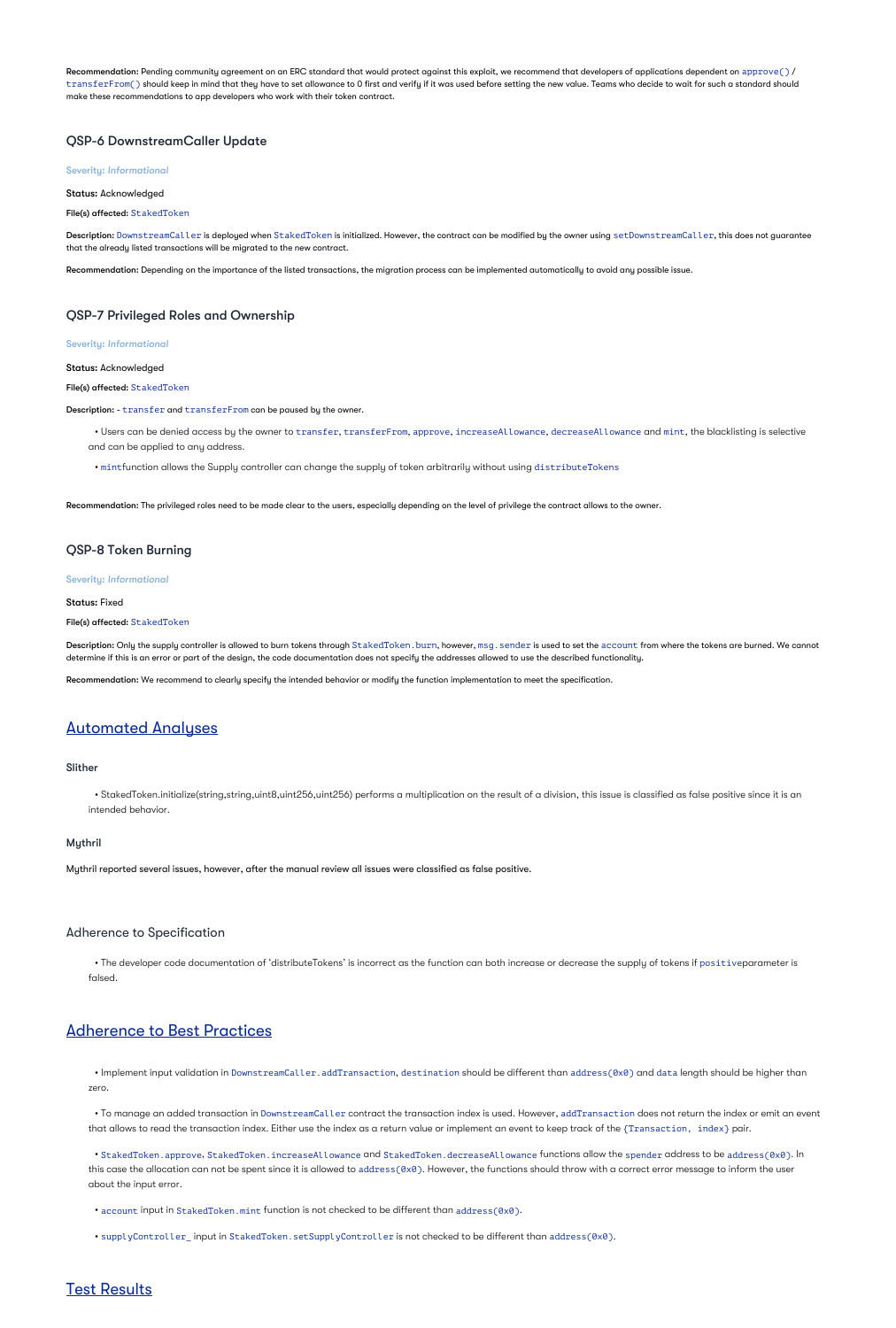$\sf Recommendation:$  Pending community agreement on an ERC standard that would protect against this exploit, we recommend that developers of applications dependent on  $\sf{approve}()$  / <code>transferFrom()</code> should keep in mind that they have to set allowance to 0 first and verify if it was used before setting the new value. Teams who decide to wait for such a standard should make these recommendations to app developers who work with their token contract.

Description: DownstreamCaller is deployed when StakedToken is initialized. However, the contract can be modified by the owner using <code>setDownstreamCaller,</code> this does not guarantee that the already listed transactions will be migrated to the new contract.

### QSP-6 DownstreamCaller Update

### Severity: *Informational*

Status: Acknowledged

File(s) affected: StakedToken

 $\bullet$  Users can be denied access by the owner to transfer, transferFrom, approve, increaseAllowance, decreaseAllowance and mint, the blacklisting is selective and can be applied to any address.

Recommendation: Depending on the importance of the listed transactions, the migration process can be implemented automatically to avoid any possible issue.

### QSP-7 Privileged Roles and Ownership

Description: Only the supply controller is allowed to burn tokens through StakedToken. burn, however,  $\texttt{msg}$ . sender is used to set the account from where the tokens are burned. We cannot determine if this is an error or part of the design, the code documentation does not specify the addresses allowed to use the described functionality.

### Severity: *Informational*

Status: Acknowledged

File(s) affected: StakedToken

Description: - transfer and transferFrom can be paused by the owner.

 $\bullet$  The developer code documentation of 'distributeTokens' is incorrect as the function can both increase or decrease the supply of tokens if  $\mathsf{positive}$ parameter is falsed.

• mintfunction allows the Supply controller can change the supply of token arbitrarily without using distributeTokens

 $\bullet$  Implement input validation in DownstreamCaller.addTransaction, destination should be different than address(0x0) and data length should be higher than zero.

 $\bullet$  To manage an added transaction in DownstreamCaller contract the transaction index is used. However, addTransaction does not return the index or emit an event that allows to read the transaction index. Either use the index as a return value or implement an event to keep track of the {Transaction,index} pair.

Recommendation: The privileged roles need to be made clear to the users, especially depending on the level of privilege the contract allows to the owner.

### QSP-8 Token Burning

#### Severity: *Informational*

Status: Fixed

### File(s) affected: StakedToken

• StakedToken.approve, StakedToken.increaseAllowance and StakedToken.decreaseAllowance functions allow the spender address to be address(0x0). In this case the allocation can not be spent since it is allowed to address(0x0). However, the functions should throw with a correct error message to inform the user about the input error.

Recommendation: We recommend to clearly specify the intended behavior or modify the function implementation to meet the specification.

# Automated Analyses

### Slither

StakedToken.initialize(string,string,uint8,uint256,uint256) performs a multiplication on the result of a division, this issue is classified as false positive since it is an • intended behavior.

### Mythril

Mythril reported several issues, however, after the manual review all issues were classified as false positive.

### Adherence to Specification

# Adherence to Best Practices

• account input in StakedToken.mint function is not checked to be different than address(0x0).

• supplyController\_ input in StakedToken.setSupplyController is not checked to be different than address(0x0).

### Test Results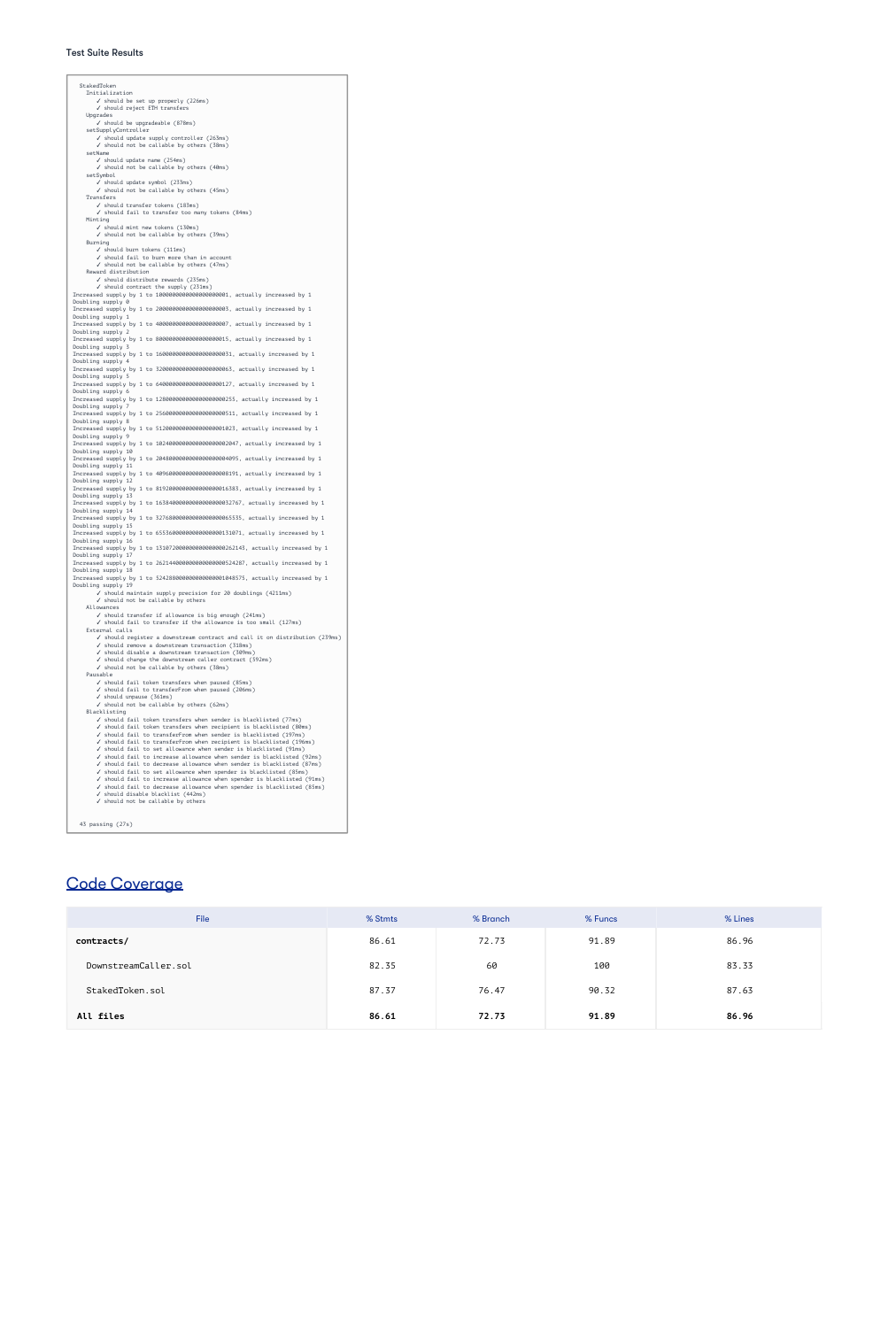#### Test Suite Results

```
StakedToken
   Initialization
       ✓ should be set up properly (226ms)
       ✓ should reject ETH transfers
    Upgrades
       ✓ should be upgradeable (878ms)
    setSupplyController
       ✓ should update supply controller (263ms)
       ✓ should not be callable by others (38ms)
    setName
       ✓ should update name (254ms)
       ✓ should not be callable by others (40ms)
    setSymbol
       ✓ should update symbol (233ms)
       ✓ should not be callable by others (45ms)
   Transfers
       ✓ should transfer tokens (183ms)
       ✓ should fail to transfer too many tokens (84ms)
    Minting
       ✓ should mint new tokens (130ms)
       ✓ should not be callable by others (39ms)
    Burning
       ✓ should burn tokens (111ms)
       ✓ should fail to burn more than in account
       ✓ should not be callable by others (47ms)
    Reward distribution
       ✓ should distribute rewards (235ms)
       ✓ should contract the supply (231ms)
Increased supply by 1 to 1000000000000000000001, actually increased by 1
Doubling supply 0
Increased supply by 1 to 2000000000000000000003, actually increased by 1
Doubling supply 1
Increased supply by 1 to 4000000000000000000007, actually increased by 1
Doubling supply 2
Increased supply by 1 to 8000000000000000000015, actually increased by 1
Doubling supply 3
Increased supply by 1 to 16000000000000000000031, actually increased by 1
Doubling supply 4
Increased supply by 1 to 32000000000000000000063, actually increased by 1
Doubling supply 5
Increased supply by 1 to 64000000000000000000127, actually increased by 1
Doubling supply 6
Increased supply by 1 to 128000000000000000000255, actually increased by 1
Doubling supply 7
Increased supply by 1 to 256000000000000000000511, actually increased by 1
Doubling supply 8
Increased supply by 1 to 512000000000000000001023, actually increased by 1
Doubling supply 9
Increased supply by 1 to 1024000000000000000002047, actually increased by 1
Doubling supply 10
Increased supply by 1 to 2048000000000000000004095, actually increased by 1
Doubling supply 11
Increased supply by 1 to 4096000000000000000008191, actually increased by 1
Doubling supply 12
Increased supply by 1 to 8192000000000000000016383, actually increased by 1
Doubling supply 13
```
Increased supply by 1 to 16384000000000000000032767, actually increased by 1 Doubling supply 14 Increased supply by 1 to 32768000000000000000065535, actually increased by 1 Doubling supply 15 Increased supply by 1 to 65536000000000000000131071, actually increased by 1 Doubling supply 16 Increased supply by 1 to 131072000000000000000262143, actually increased by 1 Doubling supply 17 Increased supply by 1 to 262144000000000000000524287, actually increased by 1 Doubling supply 18 Increased supply by 1 to 524288000000000000001048575, actually increased by 1 Doubling supply 19 ✓ should maintain supply precision for 20 doublings (4211ms) ✓ should not be callable by others Allowances ✓ should transfer if allowance is big enough (241ms) ✓ should fail to transfer if the allowance is too small (127ms) External calls ✓ should register a downstream contract and call it on distribution (239ms) ✓ should remove a downstream transaction (318ms) ✓ should disable a downstream transaction (309ms) ✓ should change the downstream caller contract (592ms) ✓ should not be callable by others (38ms) Pausable ✓ should fail token transfers when paused (85ms) ✓ should fail to transferFrom when paused (206ms) ✓ should unpause (361ms) ✓ should not be callable by others (62ms) Blacklisting ✓ should fail token transfers when sender is blacklisted (77ms) ✓ should fail token transfers when recipient is blacklisted (80ms) ✓ should fail to transferFrom when sender is blacklisted (197ms) ✓ should fail to transferFrom when recipient is blacklisted (196ms) ✓ should fail to set allowance when sender is blacklisted (91ms) ✓ should fail to increase allowance when sender is blacklisted (92ms) ✓ should fail to decrease allowance when sender is blacklisted (87ms) ✓ should fail to set allowance when spender is blacklisted (85ms) ✓ should fail to increase allowance when spender is blacklisted (91ms) ✓ should fail to decrease allowance when spender is blacklisted (85ms) ✓ should disable blacklist (442ms) ✓ should not be callable by others 43 passing (27s)

# Code Coverage

| <b>File</b>          | % Stmts | % Branch | % Funcs | % Lines |
|----------------------|---------|----------|---------|---------|
| contracts/           | 86.61   | 72.73    | 91.89   | 86.96   |
| DownstreamCaller.sol | 82.35   | 60       | 100     | 83.33   |
| StakedToken.sol      | 87.37   | 76.47    | 90.32   | 87.63   |

| files<br>All | 86.61 | 73.77<br>12.13 | 91.89 | 86.96 |
|--------------|-------|----------------|-------|-------|
|--------------|-------|----------------|-------|-------|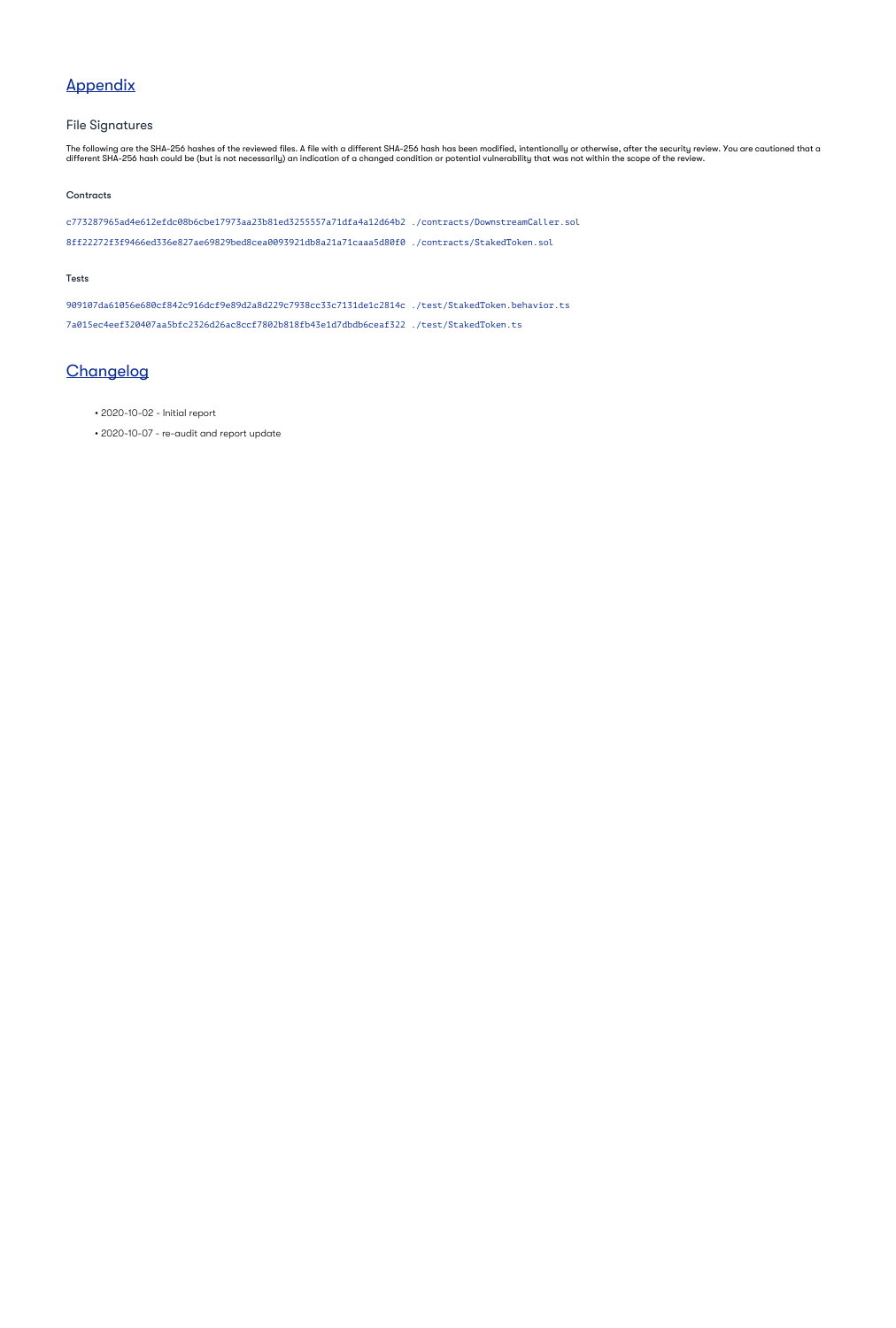# Appendix

### File Signatures

The following are the SHA-256 hashes of the reviewed files. A file with a different SHA-256 hash has been modified, intentionally or otherwise, after the security review. You are cautioned that a different SHA-256 hash could be (but is not necessarily) an indication of a changed condition or potential vulnerability that was not within the scope of the review.

#### **Contracts**

c773287965ad4e612efdc08b6cbe17973aa23b81ed3255557a71dfa4a12d64b2 ./contracts/DownstreamCaller.sol 8ff22272f3f9466ed336e827ae69829bed8cea0093921db8a21a71caaa5d80f0 ./contracts/StakedToken.sol

#### Tests

909107da61056e680cf842c916dcf9e89d2a8d229c7938cc33c7131de1c2814c ./test/StakedToken.behavior.ts 7a015ec4eef320407aa5bfc2326d26ac8ccf7802b818fb43e1d7dbdb6ceaf322 ./test/StakedToken.ts

# **Changelog**

- 2020-10-02 Initial report
- 2020-10-07 re-audit and report update